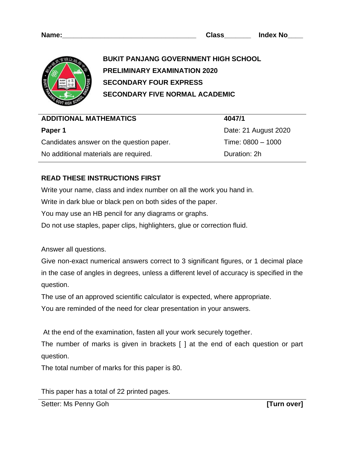| Name: | Class | <b>Index No</b> |  |
|-------|-------|-----------------|--|
|       |       |                 |  |



**BUKIT PANJANG GOVERNMENT HIGH SCHOOL PRELIMINARY EXAMINATION 2020 SECONDARY FOUR EXPRESS SECONDARY FIVE NORMAL ACADEMIC**

| <b>ADDITIONAL MATHEMATICS</b>            | 4047/1               |
|------------------------------------------|----------------------|
| Paper 1                                  | Date: 21 August 2020 |
| Candidates answer on the question paper. | Time: $0800 - 1000$  |
| No additional materials are required.    | Duration: 2h         |

## **READ THESE INSTRUCTIONS FIRST**

Write your name, class and index number on all the work you hand in.

Write in dark blue or black pen on both sides of the paper.

You may use an HB pencil for any diagrams or graphs.

Do not use staples, paper clips, highlighters, glue or correction fluid.

Answer all questions.

Give non-exact numerical answers correct to 3 significant figures, or 1 decimal place in the case of angles in degrees, unless a different level of accuracy is specified in the question.

The use of an approved scientific calculator is expected, where appropriate.

You are reminded of the need for clear presentation in your answers.

At the end of the examination, fasten all your work securely together.

The number of marks is given in brackets [ ] at the end of each question or part question.

The total number of marks for this paper is 80.

This paper has a total of 22 printed pages.

Setter: Ms Penny Goh *COM* **EXECUTE: MS Penny Goh** *COM* **EXECUTE: MS Penny Goh** *COM* **EXECUTE: MS COM**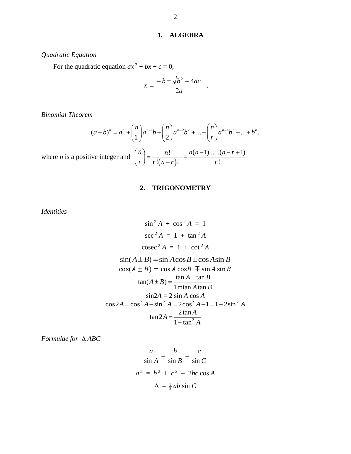## **1. ALGEBRA**

*Quadratic Equation*

For the quadratic equation  $ax^2 + bx + c = 0$ ,

$$
x = \frac{-b \pm \sqrt{b^2 - 4ac}}{2a} .
$$

*Binomial Theorem*

$$
(a+b)^n = a^n + \binom{n}{1}a^{n-1}b + \binom{n}{2}a^{n-2}b^2 + \dots + \binom{n}{r}a^{n-r}b^r + \dots + b^n,
$$

where *n* is a positive integer and  $(n-r)$ !  $\frac{1}{(n-r)!}$ *n n*  $\binom{n}{r} = \frac{n!}{r!(n-r)!}$  $\binom{r}{r}$  r! $\binom{n-1}{r}$  $=\frac{n(n-1)...(n-r+1)}{n-r+1}$ !  $n(n-1)$ ......(*n* – *r r*  $-1)$ ...... $(n - r + 1)$ 

## **2. TRIGONOMETRY**

*Identities*

$$
\sin^2 A + \cos^2 A = 1
$$
  
\n
$$
\sec^2 A = 1 + \tan^2 A
$$
  
\n
$$
\csc^2 A = 1 + \cot^2 A
$$
  
\n
$$
\sin(A \pm B) = \sin A \cos B \pm \cos A \sin B
$$
  
\n
$$
\cos(A \pm B) = \cos A \cos B \mp \sin A \sin B
$$
  
\n
$$
\tan(A \pm B) = \frac{\tan A \pm \tan B}{1 \text{ m} \tan A \tan B}
$$
  
\n
$$
\sin 2A = 2 \sin A \cos A
$$
  
\n
$$
\cos 2A = \cos^2 A - \sin^2 A = 2\cos^2 A - 1 = 1 - 2\sin^2 A
$$
  
\n
$$
\tan 2A = \frac{2 \tan A}{1 - \tan^2 A}
$$

*Formulae for ABC*

$$
\frac{a}{\sin A} = \frac{b}{\sin B} = \frac{c}{\sin C}
$$
  

$$
a^2 = b^2 + c^2 - 2bc \cos A
$$
  

$$
\Delta = \frac{1}{2}ab \sin C
$$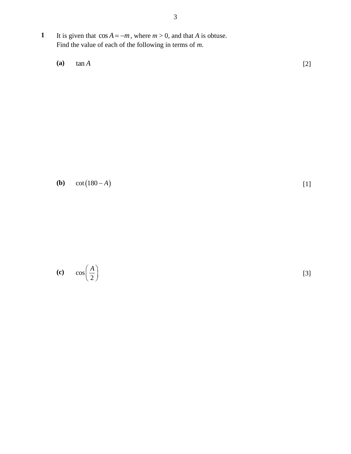1 It is given that  $\cos A = -m$ , where  $m > 0$ , and that *A* is obtuse. Find the value of each of the following in terms of *m*.

**(a)** tan *A* [2]

**(b)**  $cot(180 - A)$ 

[1]

**(c)** cos 2 *A*  $\left(\frac{1}{2}\right)$ [3]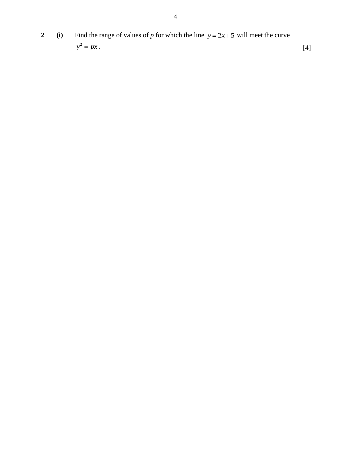**2** (i) Find the range of values of *p* for which the line  $y = 2x + 5$  will meet the curve  $y^2 = px$ . [4]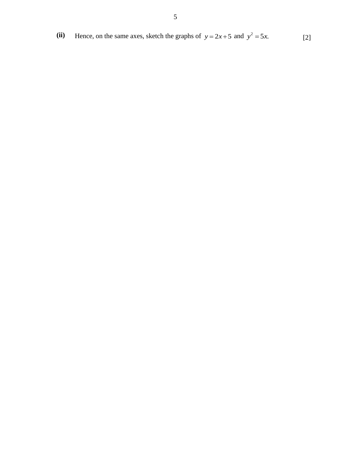(ii) Hence, on the same axes, sketch the graphs of  $y = 2x + 5$  and  $y^2 = 5x$ . [2]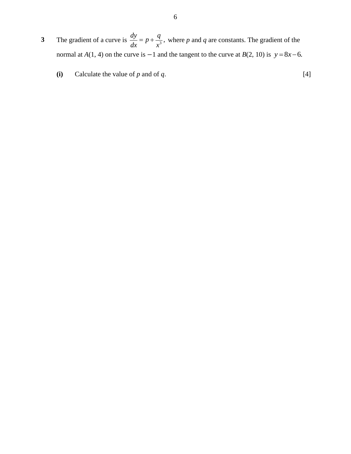- **3** The gradient of a curve is  $\frac{dy}{dx} = p + \frac{q}{x^3}$ , *dx x*  $=p+\frac{q}{\alpha}$ , where p and q are constants. The gradient of the normal at *A*(1, 4) on the curve is  $-1$  and the tangent to the curve at *B*(2, 10) is  $y = 8x - 6$ .
	- **(i)** Calculate the value of *p* and of *q*.  $[4]$ 
		-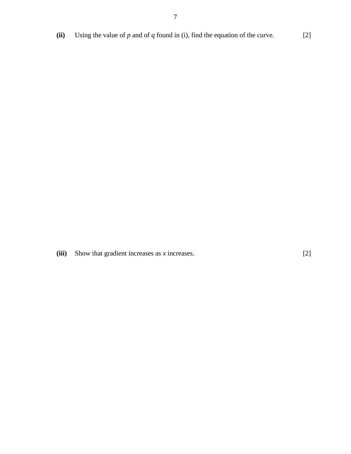**(ii)** Using the value of  $p$  and of  $q$  found in (i), find the equation of the curve. [2]

**(iii)** Show that gradient increases as *x* increases. [2]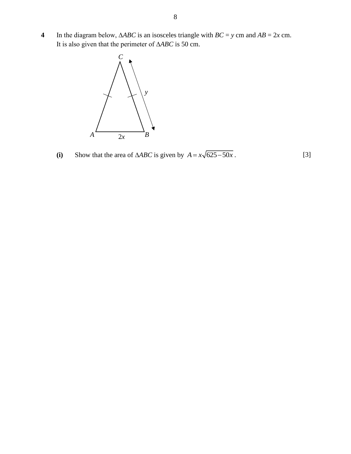**4** In the diagram below, ∆*ABC* is an isosceles triangle with *BC* = *y* cm and *AB* = 2*x* cm. It is also given that the perimeter of ∆*ABC* is 50 cm.



(i) Show that the area of  $\triangle ABC$  is given by  $A = x\sqrt{625 - 50x}$ . [3]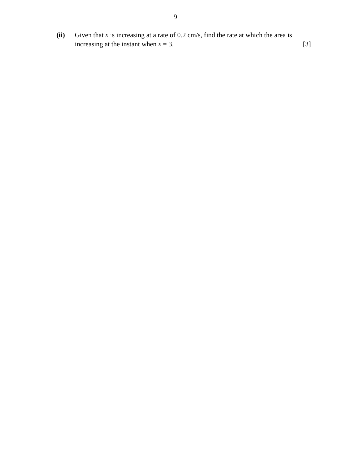**(ii)** Given that *x* is increasing at a rate of 0.2 cm/s, find the rate at which the area is increasing at the instant when  $x = 3$ . [3]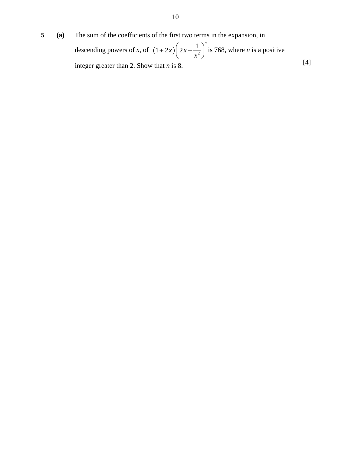**5 (a)** The sum of the coefficients of the first two terms in the expansion, in

descending powers of *x*, of  $(1+2x)\left(2x-\frac{1}{x^2}\right)^n$ *x*  $+ 2x \left( 2x - \frac{1}{x^2} \right)^n$  is 768, where *n* is a positive integer greater than 2. Show that *n* is 8. [4]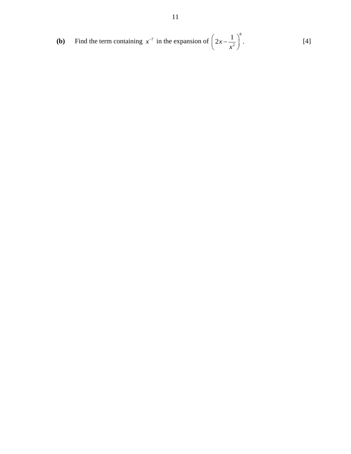**(b)** Find the term containing 
$$
x^{-7}
$$
 in the expansion of  $\left(2x - \frac{1}{x^2}\right)^8$ . [4]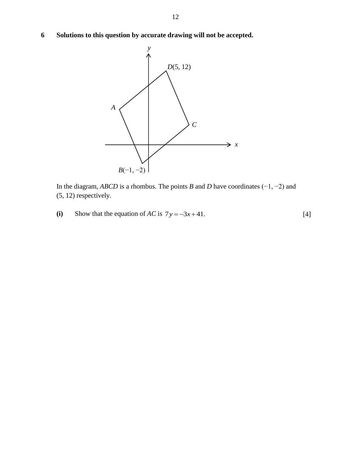**6 Solutions to this question by accurate drawing will not be accepted.**



In the diagram, *ABCD* is a rhombus. The points *B* and *D* have coordinates (−1, −2) and (5, 12) respectively.

**(i)** Show that the equation of *AC* is  $7y = -3x + 41$ . [4]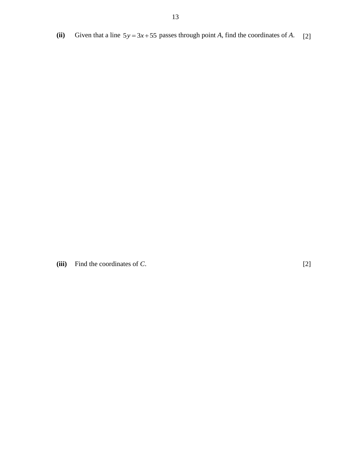(ii) Given that a line  $5y = 3x + 55$  passes through point *A*, find the coordinates of *A*. [2]

**(iii)** Find the coordinates of *C*. [2]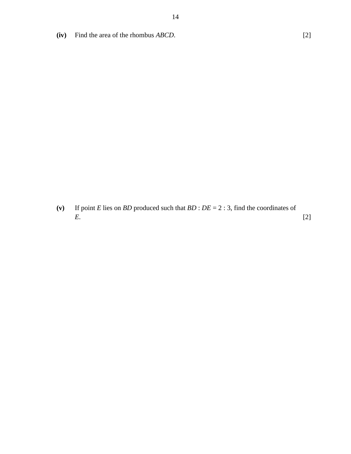**(iv)** Find the area of the rhombus *ABCD*. [2]

**(v)** If point *E* lies on *BD* produced such that *BD* : *DE* = 2 : 3, find the coordinates of *E*. [2]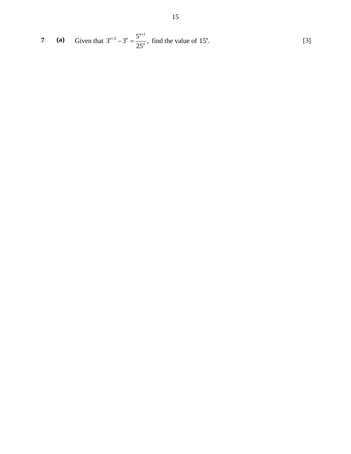7 (a) Given that 
$$
3^{n+2} - 3^n = \frac{5^{n+1}}{25^n}
$$
, find the value of 15<sup>n</sup>. [3]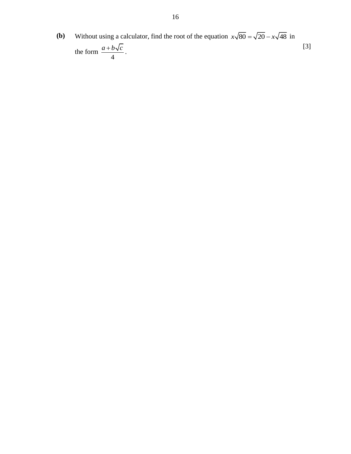**(b)** Without using a calculator, find the root of the equation  $x\sqrt{80} = \sqrt{20} - x\sqrt{48}$  in the form 4  $\frac{a+b\sqrt{c}}{c}$ . [3]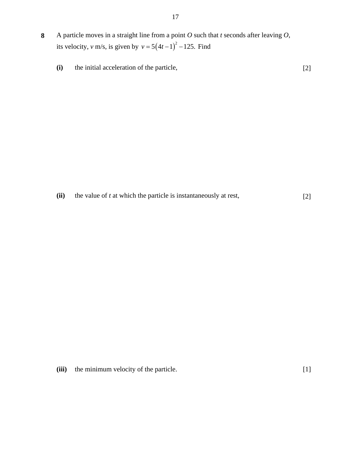- **8** A particle moves in a straight line from a point *O* such that *t* seconds after leaving *O*, its velocity, *v* m/s, is given by  $v = 5(4t-1)^2 - 125$ . Find
	- **(i)** the initial acceleration of the particle, [2]

**(ii)** the value of *t* at which the particle is instantaneously at rest, [2]

**(iii)** the minimum velocity of the particle. [1]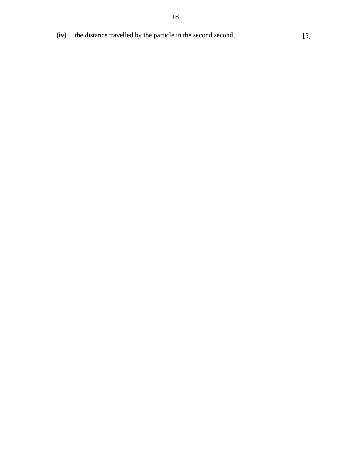- **(iv)** the distance travelled by the particle in the second second, [5]
	-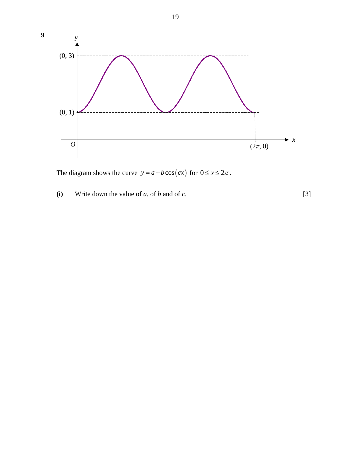

The diagram shows the curve  $y = a + b \cos(cx)$  for  $0 \le x \le 2\pi$ .

**(i)** Write down the value of *a*, of *b* and of *c*. [3]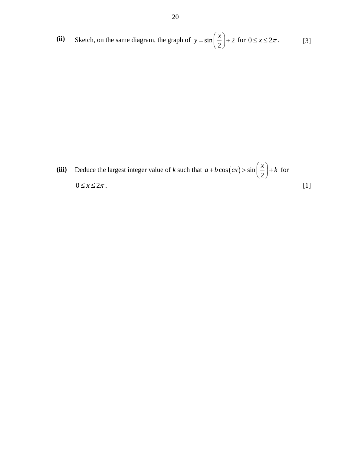(ii) Sketch, on the same diagram, the graph of  $y = \sin \left( \frac{x}{2} \right) + 2$ 2  $y = \sin\left(\frac{x}{2}\right) + 2$  for  $0 \le x \le 2\pi$ . [3]

(iii) Deduce the largest integer value of *k* such that  $a + b \cos(cx) > \sin\left(\frac{x}{2}\right)$  $a + b \cos(cx) > \sin\left(\frac{x}{2}\right) + k$ for  $0 \le x \le 2\pi$ . [1]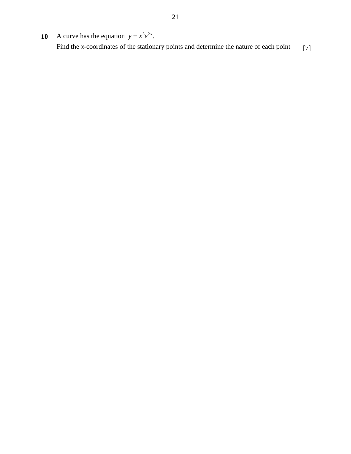**10** A curve has the equation  $y = x^3 e^{2x}$ . Find the *x*-coordinates of the stationary points and determine the nature of each point [7]